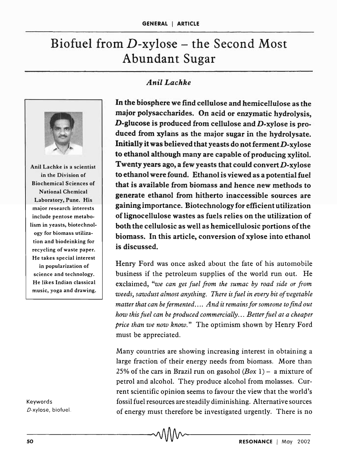# Biofuel from  $D$ -xylose – the Second Most Abundant Sugar

## *Anil Lachke*



Anil Lachke is a scientist in the Division of Biochemical Sciences of National Chemical Laboratory, Pune. His major research interests include pentose metabolism in yeasts, biotechnology for biomass utilization and biodeinking for recycling of waste paper. He takes special interest in popularization of science and technology. He likes Indian classical music, yoga and drawing.

Keywords D-xylose, biofuel.

In the biosphere we find cellulose and hemicellulose as the major polysaccharides. On acid or enzymatic hydrolysis, D-glucose is produced from cellulose and D-xylose is produced from xylans as the major sugar in the hydrolysate. Initially it was believed that yeasts do not ferment  $D$ -xylose to ethanol although many are capable of producing xylitol. Twenty years ago, a few yeasts that could convert  $D$ -xylose to ethanol were found. Ethanol is viewed as a potential fuel that is available from biomass and hence new methods to generate ethanol from hitherto inaccessible sources are gaining importance. Biotechnology for efficient utilization of lignocellulose wastes as fuels relies on the utilization of both the cellulosic as well as hemicellulosic portions of the biomass. In this article, conversion of xylose into ethanol is discussed.

Henry Ford was once asked about the fate of his automobile business if the petroleum supplies of the world run out. He exclaimed, *"we can get fuel from the sumac by road side or from weeds, sawdust almost anything. There is fuel in every bit of vegetable matter that can be fermented .*... *A nd it remains for someone to find out how this fuel can be produced commercially ... Better fuel at a cheaper price than we now know."* The optimism shown by Henry Ford must be appreciated.

Many countries are showing increasing interest in obtaining a large fraction of their energy needs from biomass. More than 25% of the cars in Brazil run on gasohol  $(Box 1)$  - a mixture of petrol and alcohol. They produce alcohol from molasses. Current scientific opinion seems to favour the view that the world's fossil fuel resources are steadily diminishing. Alternative sources D-xylose, biofuel.  $\qquad \qquad$  of energy must therefore be investigated urgently. There is no  $\bigwedge_{i=1}^{\infty}$   $\bigcap_{i=1}^{\infty}$   $\bigcap_{i=1}^{\infty}$   $\bigcap_{i=1}^{\infty}$   $\bigcap_{i=1}^{\infty}$   $\bigcap_{i=1}^{\infty}$   $\bigcap_{i=1}^{\infty}$  and  $\bigcap_{i=1}^{\infty$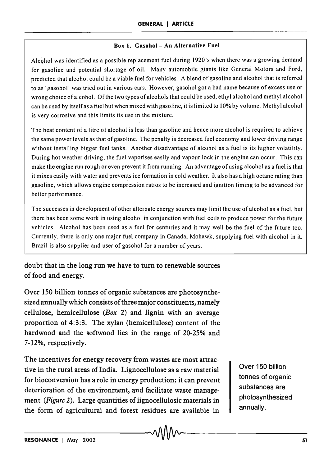### Box t. Gasohol- An Alternative Fuel

AlcOhol was identified as a possible replacement fuel during 1920's when there was a growing demand for gasoline and potential shortage of oil. Many automobile giants like General Motors and Ford, predicted that alcohol could be a viable fuel for vehicles. A blend of gasoline and alcohol that is referred to as 'gasohol' was tried out in various cars. However, gasohol got a bad name because of excess use or wrong choice of alcohol. Ofthe two types of alcohols that could be used, ethyl alcohol and methyl alcohol can be used by itselfas a fuel but when mixed with gasoline, it is limited to 10% by volume. Methyl alcohol is very corrosive and this limits its use in the mixture.

The heat content of a litre of alcohol is less than gasoline and hence more alcohol is required to achieve the same power levels as that of gasoline. The penalty is decreased fuel economy and lower driving range without installing bigger fuel tanks. Another disadvantage of alcohol as a fuel is its higher volatility. During hot weather driving, the fuel vaporises easily and vapour lock in the engine can occur. This can make the engine run rough or even prevent it from running. An advantage of using alcohol as a fuel is that it mixes easily with water and prevents ice formation in cold weather. It also has a high octane rating than gasoline, which allows engine compression ratios to be increased and ignition timing to be advanced for better performance.

The successes in development of other alternate energy sources may limit the use of alcohol as a fuel, but there has been some work in using alcohol in conjunction with fuel cells to produce power for the future vehicles. Alcohol has been used as a fuel for centuries and it may well be the fuel of the future too. Currently, there is only one major fuel company in Canada, Mohawk, supplying fuel with alcohol in it. Brazil is also supplier and user of gasohol for a number of years.

doubt that in the long run we have to tum to renewable sources of food and energy.

Over 150 billion tonnes of organic substances are photosynthesized annually which consists of three major constituents, namely cellulose, hemicellulose *(Box* 2) and lignin with an average proportion of 4:3:3. The xylan (hemicellulose) content of the hardwood and the softwood lies in the range of 20-25% and 7-12%, respectively.

The incentives for energy recovery from wastes are most attractive in the rural areas of India. Lignocellulose as a raw material for bioconversion has a role in energy production; it can prevent deterioration of the environment, and facilitate waste management *(Figure* 2). Large quantities of lignocellulosic materials in the form of agricultural and forest residues are available in

Over 150 billion tonnes of organic substances are photosynthesized annually.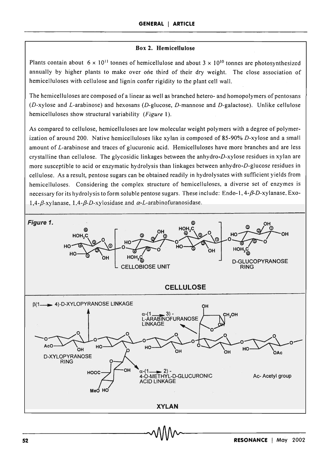#### Box 2. Hemicellulose

Plants contain about  $6 \times 10^{11}$  tonnes of hemicellulose and about  $3 \times 10^{10}$  tonnes are photosynthesized annually by higher plants to make over one third of their dry weight. The close association of hemicelluloses with cellulose and lignin confer rigidity to the plant cell wall.

The hemicelluloses are composed of a linear as well as branched hetero- and homopolymers of pentosans *(D-xylose* and L-arabinose) and hexosans *(D-glucose,* D-mannose and D-galactose). Unlike cellulose hemicelluloses show structural variability (*Figure 1*).

As compared to cellulose, hemicelluloses are low molecular weight polymers with a degree of polymerization of around 200. Native hemicelluloses like xylan is composed of 85-90% *D-xylose* and a small amount of L-arabinose and traces of glucuronic acid. Hemicelluloses have more branches and are less crystalline than cellulose. The glycosidic linkages between the anhydro-D-xylose residues in xylan are more susceptible to acid or enzymatic hydrolysis than linkages between anhydro-D-glucose residues in cellulose. As a result, pentose sugars can be obtained readily in hydrolysates with sufficient yields from hemicelluloses. Considering the complex structure of hemicelluloses, a diverse set of enzymes is necessary for its hydrolysis to form soluble pentose sugars. These include: Endo-l, *4-fJ-D-xylanase,* Exo-1,4- $\beta$ -xylanase, 1,4- $\beta$ -D-xylosidase and  $\alpha$ -L-arabinofuranosidase.

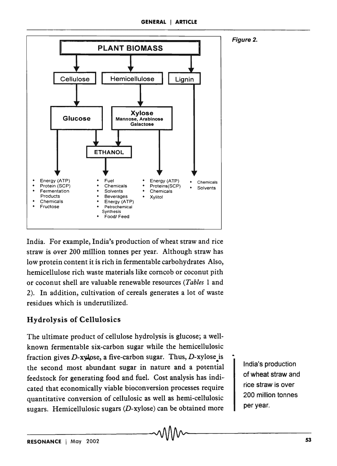

India. For example, India's production of wheat straw and rice straw is over 200 million tonnes per year. Although straw has low protein content it is rich in fermentable carbohydrates Also, hemicellulose rich waste materials like corncob or coconut pith or coconut shell are valuable renewable resources *(Tables* I and 2). In addition, cultivation of cereals generates a lot of waste residues which is underutilized.

# Hydrolysis of Cellulosics

The ultimate product of cellulose hydrolysis is glucose; a wellknown fermentable six-carbon sugar while the hemicellulosic fraction gives  $D$ -xylose, a five-carbon sugar. Thus,  $D$ -xylose is the second most abundant sugar in nature and a potential feedstock for generating food and fuel. Cost analysis has indi-· cated that economically viable bioconversion processes require quantitative conversion of cellulosic as well as herni-cellulosic sugars. Hemicellulosic sugars (D-xylose) can be obtained more

India's production of wheat straw and rice straw is over 200 million tonnes per year.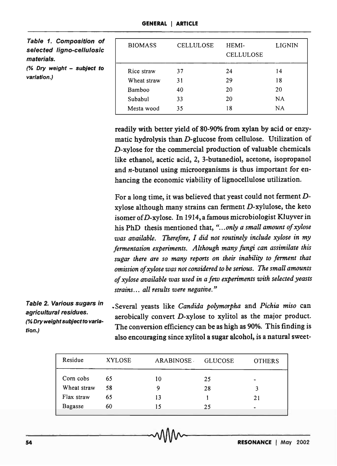| Table 1. Composition of<br>selected ligno-cellulosic<br>materials. | <b>BIOMASS</b> | <b>CELLULOSE</b> | HEMI-<br><b>CELLULOSE</b> | LIGNIN |
|--------------------------------------------------------------------|----------------|------------------|---------------------------|--------|
| (% Dry weight - subject to<br>variation.)                          | Rice straw     | 37               | 24                        | 14     |
|                                                                    | Wheat straw    | 31               | 29                        | 18     |
|                                                                    | Bamboo         | 40               | 20                        | 20     |
|                                                                    | Subabul        | 33               | 20                        | NA     |
|                                                                    | Mesta wood     | 35               | 18                        | NA     |

GENERAL | ARTICLE

readily with better yield of 80-90% from xylan by acid or enzymatic hydrolysis than  $D$ -glucose from cellulose. Utilization of D-xylose for the commercial production of valuable chemicals like ethanol, acetic acid, 2, 3-butanediol, acetone, isopropanol and  $n$ -butanol using microorganisms is thus important for enhancing the economic viability of lignocellulose utilization.

For a long time, it was believed that yeast could not ferment *D*xylose although many strains can ferment D-xylulose, the keto isomer ofD-xylose. In 1914, a famous microbiologist Kluyver in his PhD thesis mentioned that, *" ... only a small amount of xylose was available. Therefore, I did not routinely include xylose in my fermentation experiments. Although many fungi can assimilate this sugar there are so many reports on their inability to ferment that omission of xylose was not considered to be serious. The small amounts of xylose available was used in a few experiments with selected yeasts strains.* .. *all results were negative."* 

Table 2. Various sugars in agricultural residues. (% Dry weight subJect to variation.) • Several yeasts like *Candida polymorpha* and *Pichia muo* can aerobically convert D-xylose to xylitol as the major product. The conversion efficiency can be as high as 90%. This finding is also encouraging since xylitol a sugar alcohol, is a natural sweet-

| Residue        | <b>XYLOSE</b> | ARABINOSE | <b>GLUCOSE</b> | <b>OTHERS</b> |
|----------------|---------------|-----------|----------------|---------------|
| Corn cobs      | 65            | 10        | 25             | -             |
| Wheat straw    | 58            |           | 28             |               |
| Flax straw     | 65            | 13        |                | 21            |
| <b>Bagasse</b> | 60            |           | 25             |               |
|                |               |           |                |               |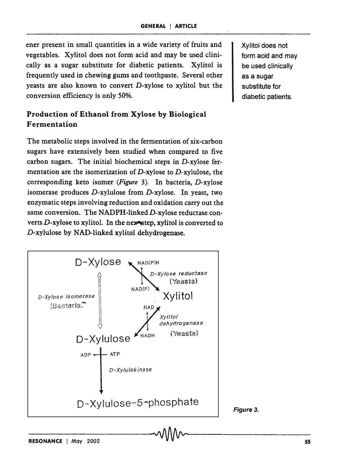ener present in small quantities in a wide variety of fruits and vegetables. XyIitol does not form acid and may be used clini· cally as a sugar substitute for diabetic patients. Xylitol is frequently used in chewing gums and toothpaste. Several other yeasts are also known to convert D-xylose to xylitol but the conversion efficiency is only 50%.

# Production of Ethanol from Xylose by Biological Fermentation

The metabolic steps involved in the fermentation of six-carbon sugars have extensively been studied when compared to five carbon sugars. The initial biochemical steps in D-xylose fer· mentation are the isomerization of  $D$ -xylose to  $D$ -xylulose, the corresponding keto isomer *(Figure 3)*. In bacteria, *D*-xylose isomerase produces  $D$ -xylulose from  $D$ -xylose. In yeast, two enzymatic steps involving reduction and oxidation carry out the same conversion. The NADPH-linked D-xylose reductase converts  $D$ -xylose to xylitol. In the next step, xylitol is converted to D-xylulose by NAD-linked xylitol dehydrogenase.



Xylitol does not form acid and may be used clinically as a sugar substitute for diabetic patients.

 $\blacksquare$ 

Figure 3.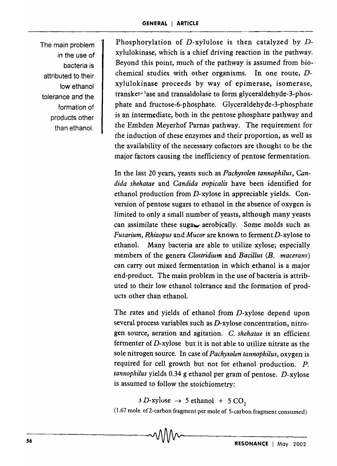The main problem in the use of bacteria is attributed to their low ethanol tolerance and the formation of products other than ethanol.

Phosphorylation of D-xylulose is then catalyzed by *D*xylulokinase, which is a chief driving reaction in the pathway\_ Beyond this point, much of the pathway is assumed from bio· chemical studies with other organisms. In one route, *D*xylulokinase proceeds by way of epimerase, isomerase, transket<sup>-l</sup>ase and transaldolase to form glyceraldehyde-3-phosphate and fructose-6-phosphate. Glyceraldehyde-3-phosphate is an intermediate, both in the pentose phosphate pathway and the Embden Meyerhof Parnas pathway. The requirement for the induction of these enzymes and their proportion, as well as the availability of the necessary cofactors are thought to be the major factors causing the inefficiency of pentose fermentation.

In the last 20 years, yeasts such as *Pachysolen tannophilus, Candida shehatae* and *Candida tropicalis* have been identified for ethanol production from D-xylose in appreciable yields. Conversion of pentose sugars to ethanol in the absence of oxygen is limited to only a small number of yeasts, although many yeasts can assimilate these suga aerobically. Some molds such as *Fusarium, Rhizopus* and *Mucor* are known to fermentD-xylose to ethanol. Many bacteria are able to utilize xylose; especially members of the genera *Clostridium* and *Bacillus (B. macerans)*  can carry out mixed fermentation in which ethanol is a major end-product. The main problem in the use of bacteria is attributed to their low ethanol tolerance and the formation of products other than ethanol.

The rates and yields of ethanol from D-xylose depend upon several process variables such as D-xylose concentration, nitrogen source, aeration and agitation. C. *shehatae* is an efficient fermenter of D-xylose but it is not able to utilize nitrate as the sole nitrogen source. In case of *Pachysolen tannophilus,* oxygen is required for cell growth but not for ethanol production. P. *tannophilus* yields 0.34 g ethanol per gram of pentose. D-xylose is assumed to follow the stoichiometry:

 $3 D$ -xylose  $\rightarrow$  5 ethanol + 5 CO<sub>2</sub> (1.67 mole of 2-carbon fragment per mole of S-carbon fragment consumed)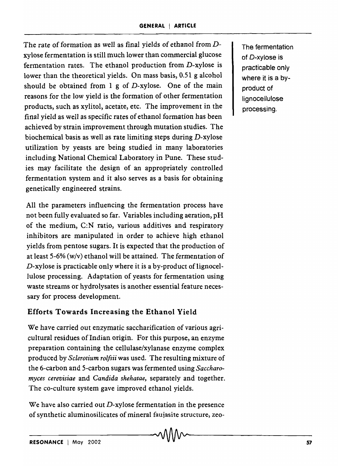The rate of formation as well as final yields of ethanol from *D*xylose fermentation is still much lower than commercial glucose fermentation rates. The ethanol production from D-xylose is lower than the theoretical yields. On mass basis, 0.51 g alcohol should be obtained from  $1$  g of  $D$ -xylose. One of the main reasons for the low yield is the formation of other fermentation products, such as xylitol, acetate, etc. The improvement in the final yield as well as specific rates of ethanol formation has been achieved by strain improvement through mutation studies. The biochemical basis as well as rate limiting steps during D-xylose utilization by yeasts are being studied in many laboratories including National Chemical Laboratory in Pune. These studies may facilitate the design of an appropriately controlled fermentation system and it also serves as a basis for obtaining genetically engineered strains.

All the parameters influencing the fermentation process have not been fully evaluated so far. Variables including aeration, pH of the medium, C:N ratio, various additives and respiratory inhibitors are manipulated in order to achieve high ethanol yields from pentose sugars. It is expected that the production of at least 5-6% (w/v) ethanol will be attained. The fermentation of  $D$ -xylose is practicable only where it is a by-product of lignocellulose processing. Adaptation of yeasts for fermentation using waste streams or hydrolysates is another essential feature necessary for process development.

# Efforts Towards Increasing the Ethanol Yield

We have carried out enzymatic saccharification of various agricultural residues of Indian origin. For this purpose, an enzyme preparation containing the cellulase/xylanase enzyme complex produced by *Sclerotium rolfsii* was used. The resulting mixture of the 6-carbon and S-carbon sugars was fermented using *Saccharomyces cerevisiae* and *Candida shehatae,* separately and together. The co-culture system gave improved ethanol yields.

We have also carried out  $D$ -xylose fermentation in the presence of synthetic aluminosilicates of mineral faujasite structure, zeo-

The fermentation of D-xylose is practicable only where it is a byproduct of lignocellulose processing.